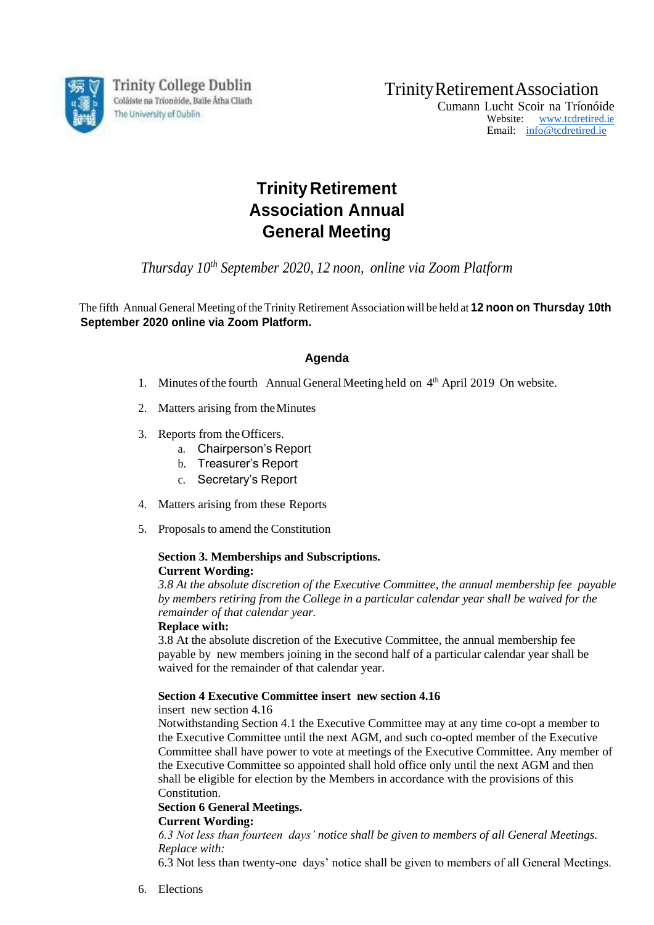

Trinity College Dublin Coláiste na Tríonóide, Baile Átha Cliath The University of Dublin

TrinityRetirementAssociation

Cumann Lucht Scoir na Tríonóide Website: [www.tcdretired.ie](http://www.tcdretired.ie/) Email: [info@tcdretired.ie](mailto:info@tcdretired.ie)

# **Trinity Retirement Association Annual General Meeting**

*Thursday 10th September 2020, 12 noon, online via Zoom Platform*

The fifth Annual General Meeting ofthe Trinity Retirement Association will be held at **12 noon on Thursday 10th September 2020 online via Zoom Platform.**

# **Agenda**

- 1. Minutes of the fourth Annual General Meeting held on 4<sup>th</sup> April 2019 On website.
- 2. Matters arising from theMinutes
- 3. Reports from theOfficers.
	- a. Chairperson's Report
	- b. Treasurer's Report
	- c. Secretary's Report
- 4. Matters arising from these Reports
- 5. Proposals to amend the Constitution

#### **Section 3. Memberships and Subscriptions. Current Wording:**

*3.8 At the absolute discretion of the Executive Committee, the annual membership fee payable by members retiring from the College in a particular calendar year shall be waived for the remainder of that calendar year.*

### **Replace with:**

3.8 At the absolute discretion of the Executive Committee, the annual membership fee payable by new members joining in the second half of a particular calendar year shall be waived for the remainder of that calendar year.

## **Section 4 Executive Committee insert new section 4.16**

insert new section 4.16

Notwithstanding Section 4.1 the Executive Committee may at any time co-opt a member to the Executive Committee until the next AGM, and such co-opted member of the Executive Committee shall have power to vote at meetings of the Executive Committee. Any member of the Executive Committee so appointed shall hold office only until the next AGM and then shall be eligible for election by the Members in accordance with the provisions of this Constitution.

# **Section 6 General Meetings.**

### **Current Wording:**

*6.3 Not less than fourteen days' notice shall be given to members of all General Meetings. Replace with:*

6.3 Not less than twenty-one days' notice shall be given to members of all General Meetings.

6. Elections